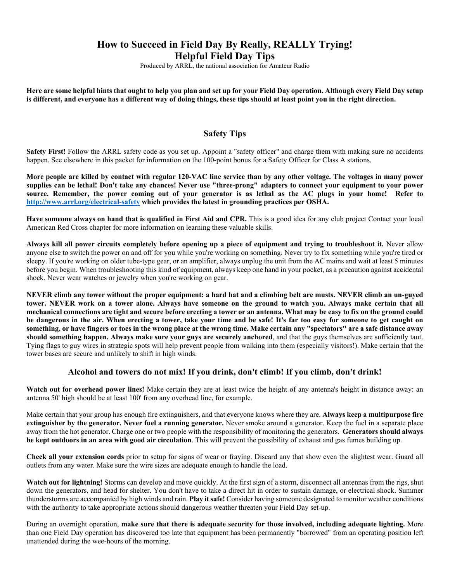# **How to Succeed in Field Day By Really, REALLY Trying! Helpful Field Day Tips**

Produced by ARRL, the national association for Amateur Radio

**Here are some helpful hints that ought to help you plan and set up for your Field Day operation. Although every Field Day setup is different, and everyone has a different way of doing things, these tips should at least point you in the right direction.** 

### **Safety Tips**

**Safety First!** Follow the ARRL safety code as you set up. Appoint a "safety officer" and charge them with making sure no accidents happen. See elsewhere in this packet for information on the 100-point bonus for a Safety Officer for Class A stations.

**More people are killed by contact with regular 120-VAC line service than by any other voltage. The voltages in many power supplies can be lethal! Don't take any chances! Never use "three-prong" adapters to connect your equipment to your power source. Remember, the power coming out of your generator is as lethal as the AC plugs in your home! Refer to http://www.arrl.org/electrical-safety which provides the latest in grounding practices per OSHA.** 

**Have someone always on hand that is qualified in First Aid and CPR.** This is a good idea for any club project Contact your local American Red Cross chapter for more information on learning these valuable skills.

**Always kill all power circuits completely before opening up a piece of equipment and trying to troubleshoot it.** Never allow anyone else to switch the power on and off for you while you're working on something. Never try to fix something while you're tired or sleepy. If you're working on older tube-type gear, or an amplifier, always unplug the unit from the AC mains and wait at least 5 minutes before you begin. When troubleshooting this kind of equipment, always keep one hand in your pocket, as a precaution against accidental shock. Never wear watches or jewelry when you're working on gear.

**NEVER climb any tower without the proper equipment: a hard hat and a climbing belt are musts. NEVER climb an un-guyed tower. NEVER work on a tower alone. Always have someone on the ground to watch you. Always make certain that all mechanical connections are tight and secure before erecting a tower or an antenna. What may be easy to fix on the ground could be dangerous in the air. When erecting a tower, take your time and be safe! It's far too easy for someone to get caught on something, or have fingers or toes in the wrong place at the wrong time. Make certain any "spectators" are a safe distance away should something happen. Always make sure your guys are securely anchored**, and that the guys themselves are sufficiently taut. Tying flags to guy wires in strategic spots will help prevent people from walking into them (especially visitors!). Make certain that the tower bases are secure and unlikely to shift in high winds.

### **Alcohol and towers do not mix! If you drink, don't climb! If you climb, don't drink!**

**Watch out for overhead power lines!** Make certain they are at least twice the height of any antenna's height in distance away: an antenna 50' high should be at least 100' from any overhead line, for example.

Make certain that your group has enough fire extinguishers, and that everyone knows where they are. **Always keep a multipurpose fire extinguisher by the generator. Never fuel a running generator.** Never smoke around a generator. Keep the fuel in a separate place away from the hot generator. Charge one or two people with the responsibility of monitoring the generators. **Generators should always be kept outdoors in an area with good air circulation**. This will prevent the possibility of exhaust and gas fumes building up.

**Check all your extension cords** prior to setup for signs of wear or fraying. Discard any that show even the slightest wear. Guard all outlets from any water. Make sure the wire sizes are adequate enough to handle the load.

**Watch out for lightning!** Storms can develop and move quickly. At the first sign of a storm, disconnect all antennas from the rigs, shut down the generators, and head for shelter. You don't have to take a direct hit in order to sustain damage, or electrical shock. Summer thunderstorms are accompanied by high winds and rain. **Play it safe!** Consider having someone designated to monitor weather conditions with the authority to take appropriate actions should dangerous weather threaten your Field Day set-up.

During an overnight operation, **make sure that there is adequate security for those involved, including adequate lighting.** More than one Field Day operation has discovered too late that equipment has been permanently "borrowed" from an operating position left unattended during the wee-hours of the morning.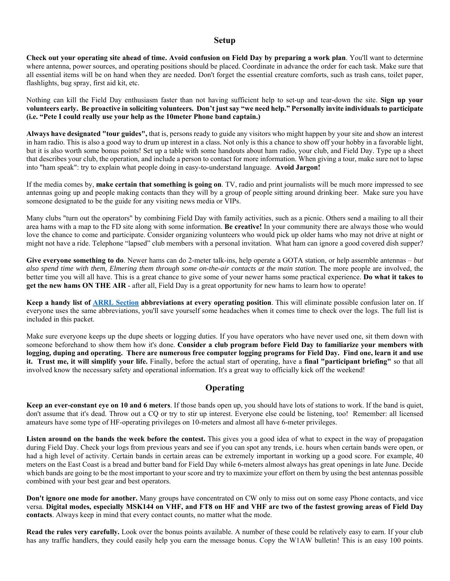#### **Setup**

**Check out your operating site ahead of time. Avoid confusion on Field Day by preparing a work plan**. You'll want to determine where antenna, power sources, and operating positions should be placed. Coordinate in advance the order for each task. Make sure that all essential items will be on hand when they are needed. Don't forget the essential creature comforts, such as trash cans, toilet paper, flashlights, bug spray, first aid kit, etc.

Nothing can kill the Field Day enthusiasm faster than not having sufficient help to set-up and tear-down the site. **Sign up your volunteers early. Be proactive in soliciting volunteers. Don't just say "we need help." Personally invite individuals to participate (i.e. "Pete I could really use your help as the 10meter Phone band captain.)** 

**Always have designated "tour guides",** that is, persons ready to guide any visitors who might happen by your site and show an interest in ham radio. This is also a good way to drum up interest in a class. Not only is this a chance to show off your hobby in a favorable light, but it is also worth some bonus points! Set up a table with some handouts about ham radio, your club, and Field Day. Type up a sheet that describes your club, the operation, and include a person to contact for more information. When giving a tour, make sure not to lapse into "ham speak": try to explain what people doing in easy-to-understand language. **Avoid Jargon!**

If the media comes by, **make certain that something is going on**. TV, radio and print journalists will be much more impressed to see antennas going up and people making contacts than they will by a group of people sitting around drinking beer. Make sure you have someone designated to be the guide for any visiting news media or VIPs.

Many clubs "turn out the operators" by combining Field Day with family activities, such as a picnic. Others send a mailing to all their area hams with a map to the FD site along with some information. **Be creative!** In your community there are always those who would love the chance to come and participate. Consider organizing volunteers who would pick up older hams who may not drive at night or might not have a ride. Telephone "lapsed" club members with a personal invitation. What ham can ignore a good covered dish supper?

**Give everyone something to do**. Newer hams can do 2-meter talk-ins, help operate a GOTA station, or help assemble antennas – *but also spend time with them, Elmering them through some on-the-air contacts at the main station.* The more people are involved, the better time you will all have. This is a great chance to give some of your newer hams some practical experience. **Do what it takes to get the new hams ON THE AIR** - after all, Field Day is a great opportunity for new hams to learn how to operate!

**Keep a handy list of ARRL Section abbreviations at every operating position**. This will eliminate possible confusion later on. If everyone uses the same abbreviations, you'll save yourself some headaches when it comes time to check over the logs. The full list is included in this packet.

Make sure everyone keeps up the dupe sheets or logging duties. If you have operators who have never used one, sit them down with someone beforehand to show them how it's done. **Consider a club program before Field Day to familiarize your members with logging, duping and operating. There are numerous free computer logging programs for Field Day. Find one, learn it and use it. Trust me, it will simplify your life.** Finally, before the actual start of operating, have a **final "participant briefing"** so that all involved know the necessary safety and operational information. It's a great way to officially kick off the weekend!

### **Operating**

**Keep an ever-constant eye on 10 and 6 meters**. If those bands open up, you should have lots of stations to work. If the band is quiet, don't assume that it's dead. Throw out a CQ or try to stir up interest. Everyone else could be listening, too! Remember: all licensed amateurs have some type of HF-operating privileges on 10-meters and almost all have 6-meter privileges.

Listen around on the bands the week before the contest. This gives you a good idea of what to expect in the way of propagation during Field Day. Check your logs from previous years and see if you can spot any trends, i.e. hours when certain bands were open, or had a high level of activity. Certain bands in certain areas can be extremely important in working up a good score. For example, 40 meters on the East Coast is a bread and butter band for Field Day while 6-meters almost always has great openings in late June. Decide which bands are going to be the most important to your score and try to maximize your effort on them by using the best antennas possible combined with your best gear and best operators.

**Don't ignore one mode for another.** Many groups have concentrated on CW only to miss out on some easy Phone contacts, and vice versa. **Digital modes, especially MSK144 on VHF, and FT8 on HF and VHF are two of the fastest growing areas of Field Day contacts**. Always keep in mind that every contact counts, no matter what the mode.

**Read the rules very carefully.** Look over the bonus points available. A number of these could be relatively easy to earn. If your club has any traffic handlers, they could easily help you earn the message bonus. Copy the W1AW bulletin! This is an easy 100 points.